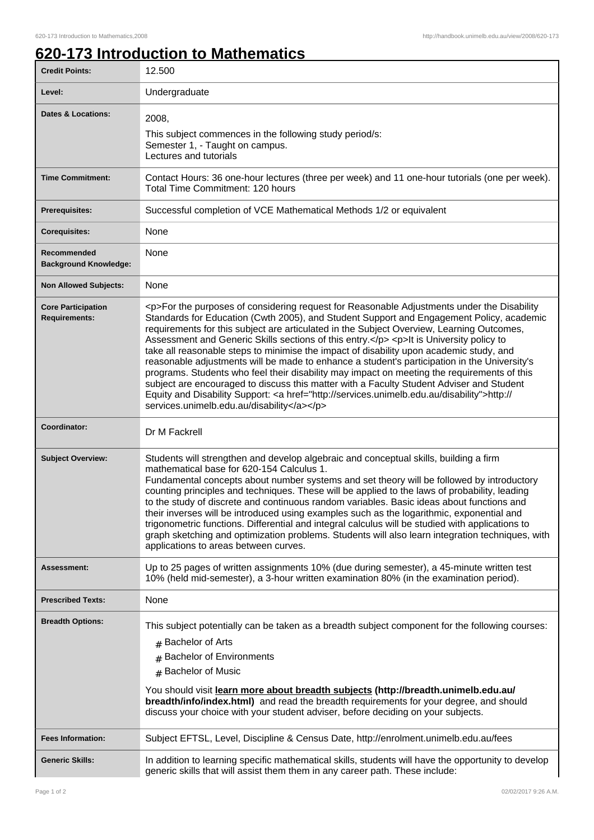## **620-173 Introduction to Mathematics**

| <b>Credit Points:</b>                             | 12.500                                                                                                                                                                                                                                                                                                                                                                                                                                                                                                                                                                                                                                                                                                                                                                                                                                                                                                                       |
|---------------------------------------------------|------------------------------------------------------------------------------------------------------------------------------------------------------------------------------------------------------------------------------------------------------------------------------------------------------------------------------------------------------------------------------------------------------------------------------------------------------------------------------------------------------------------------------------------------------------------------------------------------------------------------------------------------------------------------------------------------------------------------------------------------------------------------------------------------------------------------------------------------------------------------------------------------------------------------------|
| Level:                                            | Undergraduate                                                                                                                                                                                                                                                                                                                                                                                                                                                                                                                                                                                                                                                                                                                                                                                                                                                                                                                |
| <b>Dates &amp; Locations:</b>                     | 2008,<br>This subject commences in the following study period/s:<br>Semester 1, - Taught on campus.<br>Lectures and tutorials                                                                                                                                                                                                                                                                                                                                                                                                                                                                                                                                                                                                                                                                                                                                                                                                |
| <b>Time Commitment:</b>                           | Contact Hours: 36 one-hour lectures (three per week) and 11 one-hour tutorials (one per week).<br>Total Time Commitment: 120 hours                                                                                                                                                                                                                                                                                                                                                                                                                                                                                                                                                                                                                                                                                                                                                                                           |
| <b>Prerequisites:</b>                             | Successful completion of VCE Mathematical Methods 1/2 or equivalent                                                                                                                                                                                                                                                                                                                                                                                                                                                                                                                                                                                                                                                                                                                                                                                                                                                          |
| <b>Corequisites:</b>                              | None                                                                                                                                                                                                                                                                                                                                                                                                                                                                                                                                                                                                                                                                                                                                                                                                                                                                                                                         |
| Recommended<br><b>Background Knowledge:</b>       | None                                                                                                                                                                                                                                                                                                                                                                                                                                                                                                                                                                                                                                                                                                                                                                                                                                                                                                                         |
| <b>Non Allowed Subjects:</b>                      | None                                                                                                                                                                                                                                                                                                                                                                                                                                                                                                                                                                                                                                                                                                                                                                                                                                                                                                                         |
| <b>Core Participation</b><br><b>Requirements:</b> | <p>For the purposes of considering request for Reasonable Adjustments under the Disability<br/>Standards for Education (Cwth 2005), and Student Support and Engagement Policy, academic<br/>requirements for this subject are articulated in the Subject Overview, Learning Outcomes,<br/>Assessment and Generic Skills sections of this entry.</p> <p>lt is University policy to<br/>take all reasonable steps to minimise the impact of disability upon academic study, and<br/>reasonable adjustments will be made to enhance a student's participation in the University's<br/>programs. Students who feel their disability may impact on meeting the requirements of this<br/>subject are encouraged to discuss this matter with a Faculty Student Adviser and Student<br/>Equity and Disability Support: &lt; a href="http://services.unimelb.edu.au/disability"&gt;http://<br/>services.unimelb.edu.au/disability</p> |
| Coordinator:                                      | Dr M Fackrell                                                                                                                                                                                                                                                                                                                                                                                                                                                                                                                                                                                                                                                                                                                                                                                                                                                                                                                |
| <b>Subject Overview:</b>                          | Students will strengthen and develop algebraic and conceptual skills, building a firm<br>mathematical base for 620-154 Calculus 1.<br>Fundamental concepts about number systems and set theory will be followed by introductory<br>counting principles and techniques. These will be applied to the laws of probability, leading<br>to the study of discrete and continuous random variables. Basic ideas about functions and<br>their inverses will be introduced using examples such as the logarithmic, exponential and<br>trigonometric functions. Differential and integral calculus will be studied with applications to<br>graph sketching and optimization problems. Students will also learn integration techniques, with<br>applications to areas between curves.                                                                                                                                                  |
| Assessment:                                       | Up to 25 pages of written assignments 10% (due during semester), a 45-minute written test<br>10% (held mid-semester), a 3-hour written examination 80% (in the examination period).                                                                                                                                                                                                                                                                                                                                                                                                                                                                                                                                                                                                                                                                                                                                          |
| <b>Prescribed Texts:</b>                          | None                                                                                                                                                                                                                                                                                                                                                                                                                                                                                                                                                                                                                                                                                                                                                                                                                                                                                                                         |
| <b>Breadth Options:</b>                           | This subject potentially can be taken as a breadth subject component for the following courses:<br># Bachelor of Arts<br><b>Bachelor of Environments</b><br># Bachelor of Music<br>You should visit learn more about breadth subjects (http://breadth.unimelb.edu.au/<br>breadth/info/index.html) and read the breadth requirements for your degree, and should<br>discuss your choice with your student adviser, before deciding on your subjects.                                                                                                                                                                                                                                                                                                                                                                                                                                                                          |
| <b>Fees Information:</b>                          | Subject EFTSL, Level, Discipline & Census Date, http://enrolment.unimelb.edu.au/fees                                                                                                                                                                                                                                                                                                                                                                                                                                                                                                                                                                                                                                                                                                                                                                                                                                         |
| <b>Generic Skills:</b>                            | In addition to learning specific mathematical skills, students will have the opportunity to develop<br>generic skills that will assist them them in any career path. These include:                                                                                                                                                                                                                                                                                                                                                                                                                                                                                                                                                                                                                                                                                                                                          |